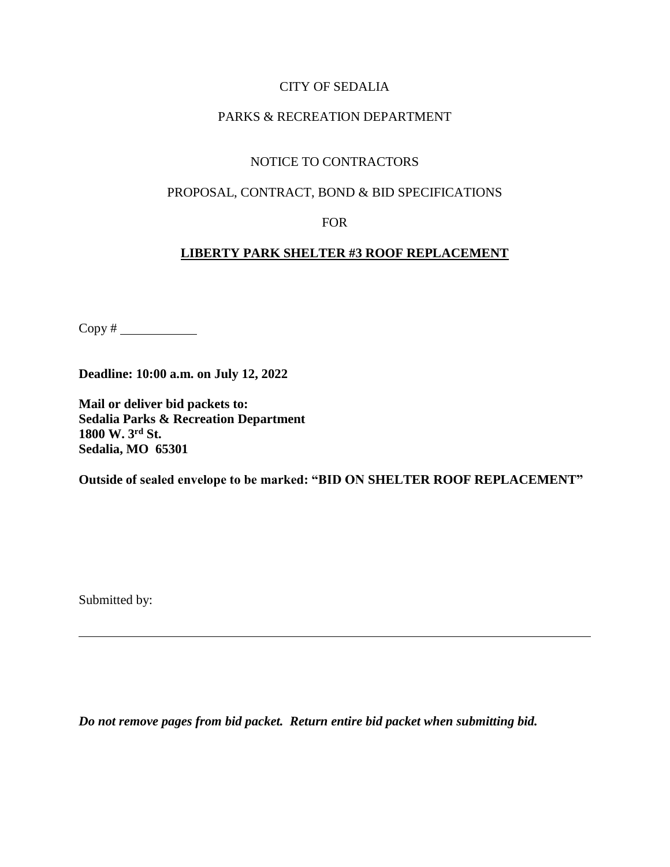## CITY OF SEDALIA

## PARKS & RECREATION DEPARTMENT

# NOTICE TO CONTRACTORS

### PROPOSAL, CONTRACT, BOND & BID SPECIFICATIONS

#### FOR

## **LIBERTY PARK SHELTER #3 ROOF REPLACEMENT**

Copy #

**Deadline: 10:00 a.m. on July 12, 2022**

**Mail or deliver bid packets to: Sedalia Parks & Recreation Department 1800 W. 3rd St. Sedalia, MO 65301**

**Outside of sealed envelope to be marked: "BID ON SHELTER ROOF REPLACEMENT"**

Submitted by:

*Do not remove pages from bid packet. Return entire bid packet when submitting bid.*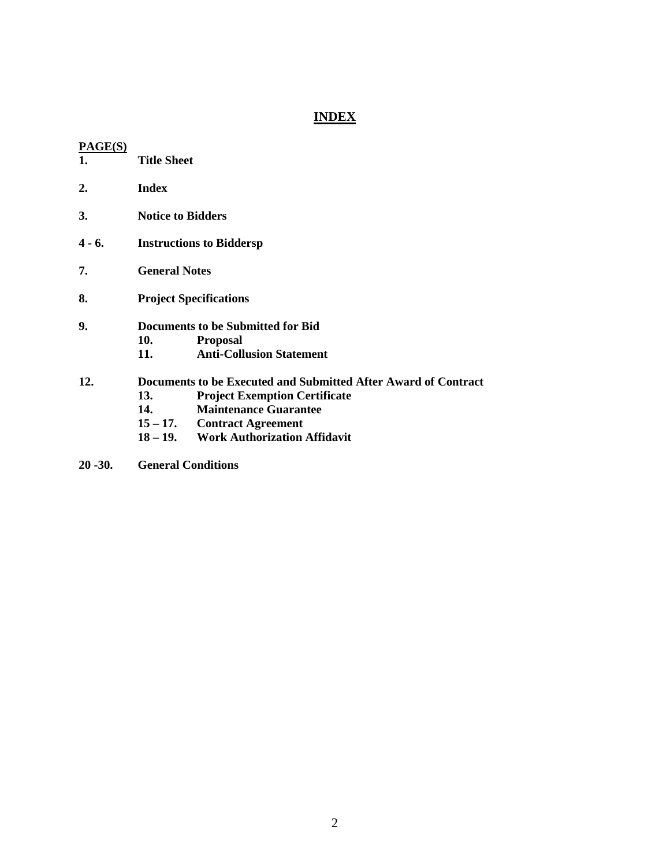# **INDEX**

| 1.     | <b>Title Sheet</b>                                             |                                       |  |
|--------|----------------------------------------------------------------|---------------------------------------|--|
| 2.     | <b>Index</b>                                                   |                                       |  |
| 3.     | <b>Notice to Bidders</b>                                       |                                       |  |
| 4 - 6. | <b>Instructions to Biddersp</b>                                |                                       |  |
| 7.     | <b>General Notes</b>                                           |                                       |  |
| 8.     | <b>Project Specifications</b>                                  |                                       |  |
| 9.     | Documents to be Submitted for Bid                              |                                       |  |
|        | 10.                                                            | <b>Proposal</b>                       |  |
|        | 11.                                                            | <b>Anti-Collusion Statement</b>       |  |
| 12.    | Documents to be Executed and Submitted After Award of Contract |                                       |  |
|        | 13.                                                            | <b>Project Exemption Certificate</b>  |  |
|        | 14.                                                            | <b>Maintenance Guarantee</b>          |  |
|        |                                                                | $15-17.$ Contract Agreement           |  |
|        |                                                                | 18 – 19. Work Authorization Affidavit |  |
|        |                                                                |                                       |  |

**20 -30. General Conditions**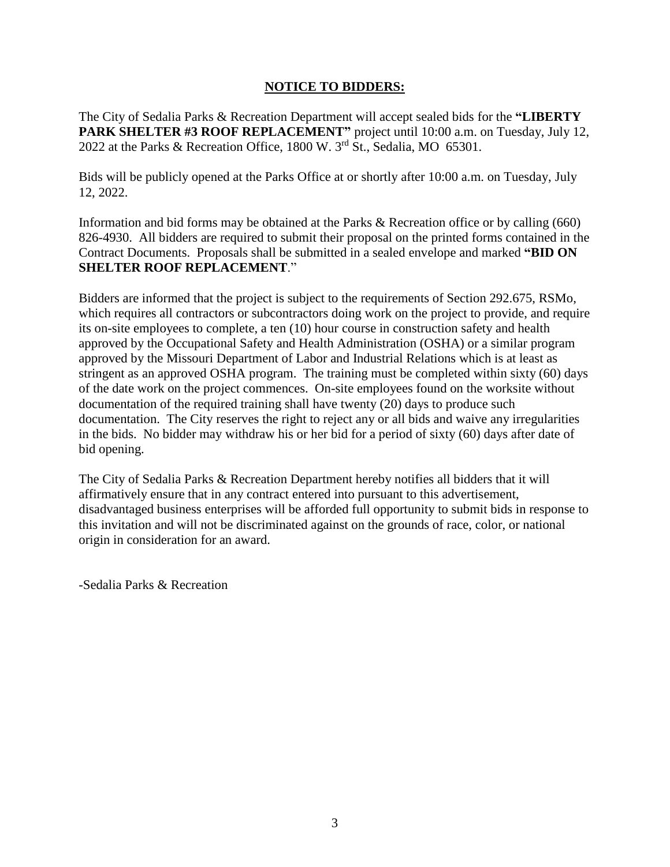#### **NOTICE TO BIDDERS:**

The City of Sedalia Parks & Recreation Department will accept sealed bids for the **"LIBERTY PARK SHELTER #3 ROOF REPLACEMENT"** project until 10:00 a.m. on Tuesday, July 12, 2022 at the Parks & Recreation Office, 1800 W.  $3<sup>rd</sup>$  St., Sedalia, MO 65301.

Bids will be publicly opened at the Parks Office at or shortly after 10:00 a.m. on Tuesday, July 12, 2022.

Information and bid forms may be obtained at the Parks & Recreation office or by calling (660) 826-4930. All bidders are required to submit their proposal on the printed forms contained in the Contract Documents. Proposals shall be submitted in a sealed envelope and marked **"BID ON SHELTER ROOF REPLACEMENT**."

Bidders are informed that the project is subject to the requirements of Section 292.675, RSMo, which requires all contractors or subcontractors doing work on the project to provide, and require its on-site employees to complete, a ten (10) hour course in construction safety and health approved by the Occupational Safety and Health Administration (OSHA) or a similar program approved by the Missouri Department of Labor and Industrial Relations which is at least as stringent as an approved OSHA program. The training must be completed within sixty (60) days of the date work on the project commences. On-site employees found on the worksite without documentation of the required training shall have twenty (20) days to produce such documentation. The City reserves the right to reject any or all bids and waive any irregularities in the bids. No bidder may withdraw his or her bid for a period of sixty (60) days after date of bid opening.

The City of Sedalia Parks & Recreation Department hereby notifies all bidders that it will affirmatively ensure that in any contract entered into pursuant to this advertisement, disadvantaged business enterprises will be afforded full opportunity to submit bids in response to this invitation and will not be discriminated against on the grounds of race, color, or national origin in consideration for an award.

-Sedalia Parks & Recreation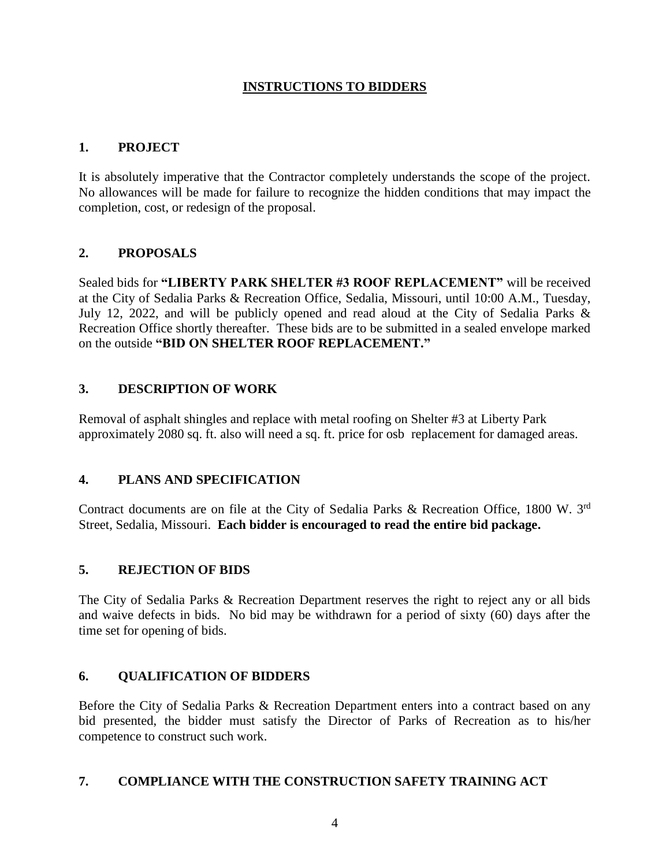## **INSTRUCTIONS TO BIDDERS**

## **1. PROJECT**

It is absolutely imperative that the Contractor completely understands the scope of the project. No allowances will be made for failure to recognize the hidden conditions that may impact the completion, cost, or redesign of the proposal.

# **2. PROPOSALS**

Sealed bids for **"LIBERTY PARK SHELTER #3 ROOF REPLACEMENT"** will be received at the City of Sedalia Parks & Recreation Office, Sedalia, Missouri, until 10:00 A.M., Tuesday, July 12, 2022, and will be publicly opened and read aloud at the City of Sedalia Parks & Recreation Office shortly thereafter. These bids are to be submitted in a sealed envelope marked on the outside **"BID ON SHELTER ROOF REPLACEMENT."**

# **3. DESCRIPTION OF WORK**

Removal of asphalt shingles and replace with metal roofing on Shelter #3 at Liberty Park approximately 2080 sq. ft. also will need a sq. ft. price for osb replacement for damaged areas.

## **4. PLANS AND SPECIFICATION**

Contract documents are on file at the City of Sedalia Parks & Recreation Office, 1800 W. 3rd Street, Sedalia, Missouri. **Each bidder is encouraged to read the entire bid package.**

## **5. REJECTION OF BIDS**

The City of Sedalia Parks & Recreation Department reserves the right to reject any or all bids and waive defects in bids. No bid may be withdrawn for a period of sixty (60) days after the time set for opening of bids.

## **6. QUALIFICATION OF BIDDERS**

Before the City of Sedalia Parks & Recreation Department enters into a contract based on any bid presented, the bidder must satisfy the Director of Parks of Recreation as to his/her competence to construct such work.

#### **7. COMPLIANCE WITH THE CONSTRUCTION SAFETY TRAINING ACT**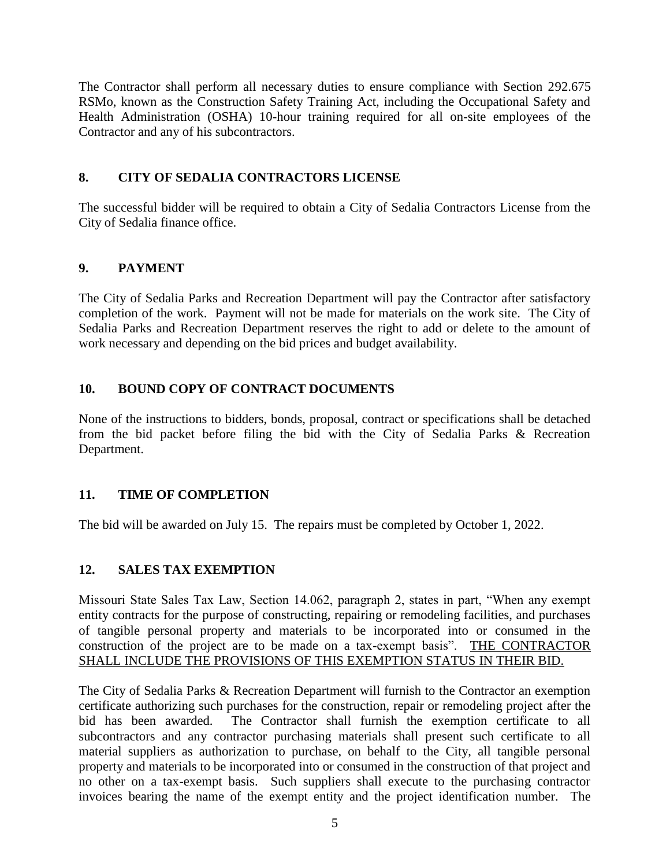The Contractor shall perform all necessary duties to ensure compliance with Section 292.675 RSMo, known as the Construction Safety Training Act, including the Occupational Safety and Health Administration (OSHA) 10-hour training required for all on-site employees of the Contractor and any of his subcontractors.

# **8. CITY OF SEDALIA CONTRACTORS LICENSE**

The successful bidder will be required to obtain a City of Sedalia Contractors License from the City of Sedalia finance office.

# **9. PAYMENT**

The City of Sedalia Parks and Recreation Department will pay the Contractor after satisfactory completion of the work. Payment will not be made for materials on the work site. The City of Sedalia Parks and Recreation Department reserves the right to add or delete to the amount of work necessary and depending on the bid prices and budget availability.

# **10. BOUND COPY OF CONTRACT DOCUMENTS**

None of the instructions to bidders, bonds, proposal, contract or specifications shall be detached from the bid packet before filing the bid with the City of Sedalia Parks & Recreation Department.

# **11. TIME OF COMPLETION**

The bid will be awarded on July 15. The repairs must be completed by October 1, 2022.

## **12. SALES TAX EXEMPTION**

Missouri State Sales Tax Law, Section 14.062, paragraph 2, states in part, "When any exempt entity contracts for the purpose of constructing, repairing or remodeling facilities, and purchases of tangible personal property and materials to be incorporated into or consumed in the construction of the project are to be made on a tax-exempt basis". THE CONTRACTOR SHALL INCLUDE THE PROVISIONS OF THIS EXEMPTION STATUS IN THEIR BID.

The City of Sedalia Parks & Recreation Department will furnish to the Contractor an exemption certificate authorizing such purchases for the construction, repair or remodeling project after the bid has been awarded. The Contractor shall furnish the exemption certificate to all subcontractors and any contractor purchasing materials shall present such certificate to all material suppliers as authorization to purchase, on behalf to the City, all tangible personal property and materials to be incorporated into or consumed in the construction of that project and no other on a tax-exempt basis. Such suppliers shall execute to the purchasing contractor invoices bearing the name of the exempt entity and the project identification number. The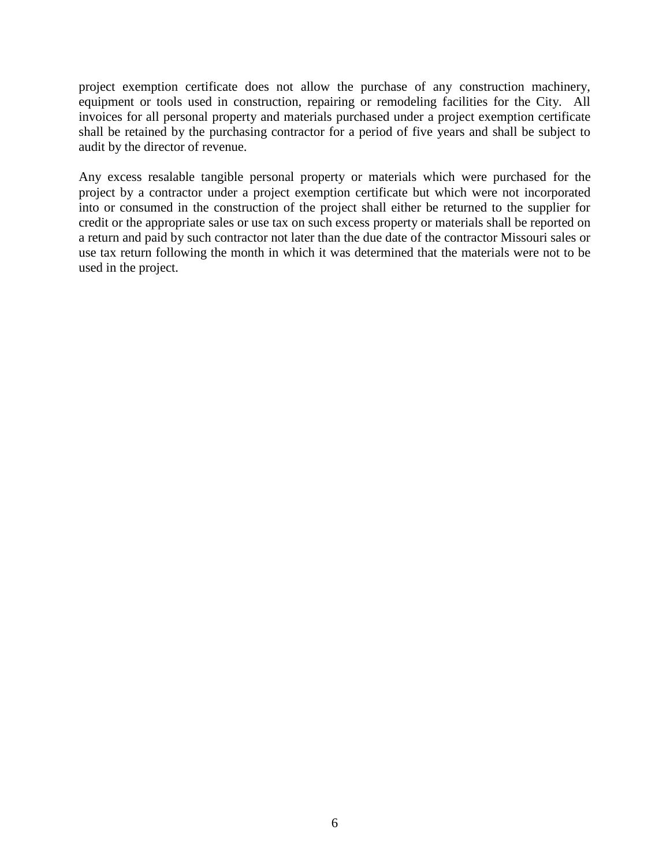project exemption certificate does not allow the purchase of any construction machinery, equipment or tools used in construction, repairing or remodeling facilities for the City. All invoices for all personal property and materials purchased under a project exemption certificate shall be retained by the purchasing contractor for a period of five years and shall be subject to audit by the director of revenue.

Any excess resalable tangible personal property or materials which were purchased for the project by a contractor under a project exemption certificate but which were not incorporated into or consumed in the construction of the project shall either be returned to the supplier for credit or the appropriate sales or use tax on such excess property or materials shall be reported on a return and paid by such contractor not later than the due date of the contractor Missouri sales or use tax return following the month in which it was determined that the materials were not to be used in the project.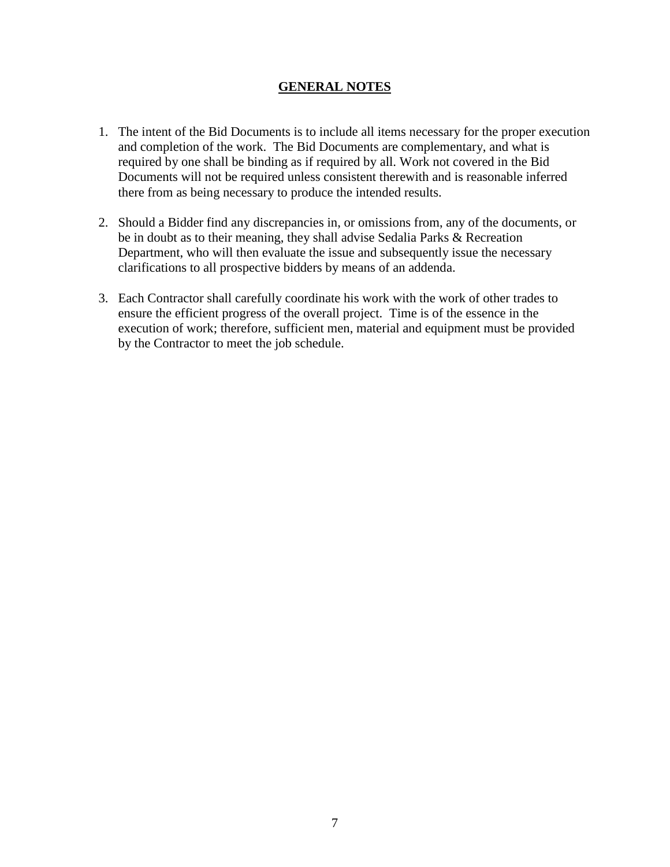## **GENERAL NOTES**

- 1. The intent of the Bid Documents is to include all items necessary for the proper execution and completion of the work. The Bid Documents are complementary, and what is required by one shall be binding as if required by all. Work not covered in the Bid Documents will not be required unless consistent therewith and is reasonable inferred there from as being necessary to produce the intended results.
- 2. Should a Bidder find any discrepancies in, or omissions from, any of the documents, or be in doubt as to their meaning, they shall advise Sedalia Parks & Recreation Department, who will then evaluate the issue and subsequently issue the necessary clarifications to all prospective bidders by means of an addenda.
- 3. Each Contractor shall carefully coordinate his work with the work of other trades to ensure the efficient progress of the overall project. Time is of the essence in the execution of work; therefore, sufficient men, material and equipment must be provided by the Contractor to meet the job schedule.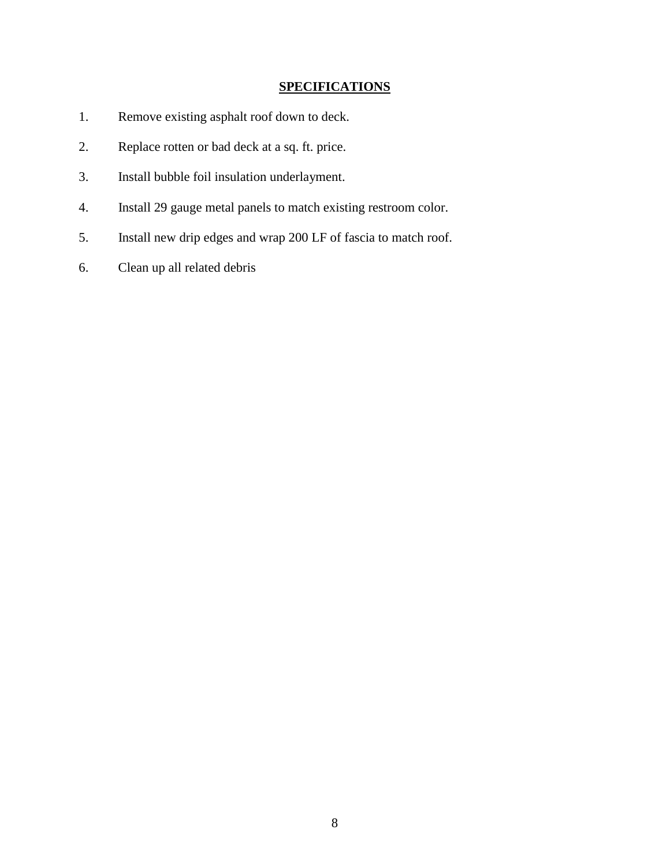# **SPECIFICATIONS**

- 1. Remove existing asphalt roof down to deck.
- 2. Replace rotten or bad deck at a sq. ft. price.
- 3. Install bubble foil insulation underlayment.
- 4. Install 29 gauge metal panels to match existing restroom color.
- 5. Install new drip edges and wrap 200 LF of fascia to match roof.
- 6. Clean up all related debris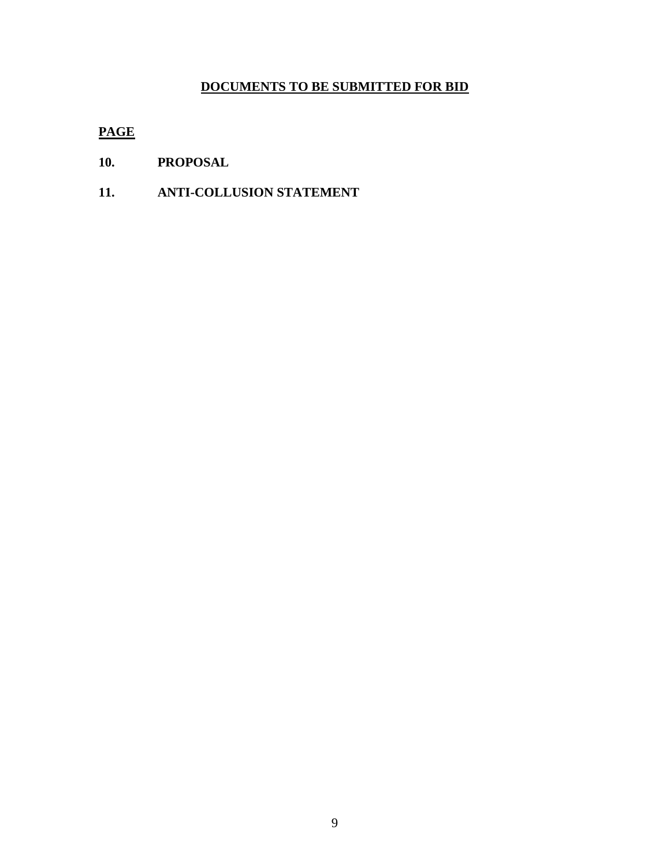# **DOCUMENTS TO BE SUBMITTED FOR BID**

# **PAGE**

- **10. PROPOSAL**
- **11. ANTI-COLLUSION STATEMENT**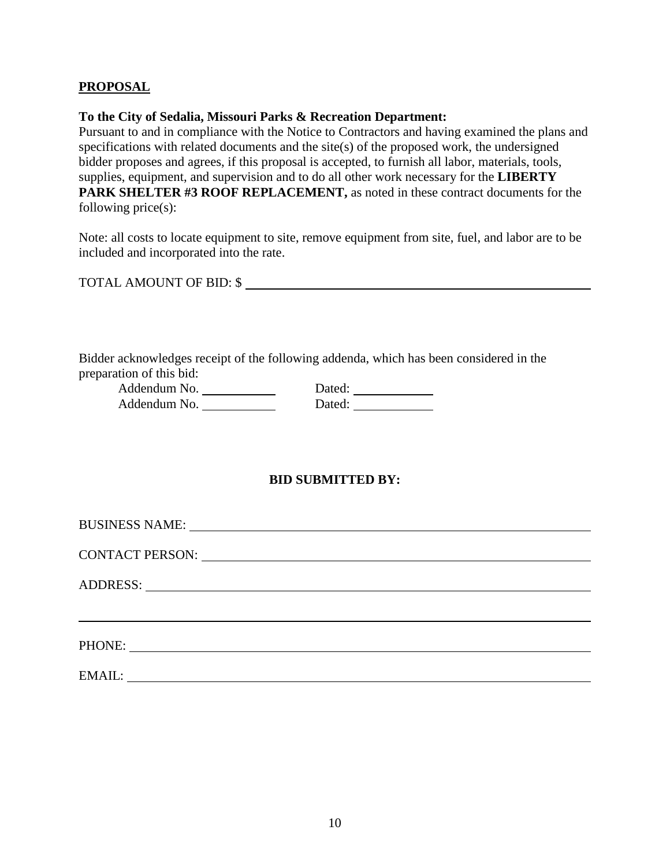## **PROPOSAL**

#### **To the City of Sedalia, Missouri Parks & Recreation Department:**

Pursuant to and in compliance with the Notice to Contractors and having examined the plans and specifications with related documents and the site(s) of the proposed work, the undersigned bidder proposes and agrees, if this proposal is accepted, to furnish all labor, materials, tools, supplies, equipment, and supervision and to do all other work necessary for the **LIBERTY PARK SHELTER #3 ROOF REPLACEMENT,** as noted in these contract documents for the following price(s):

Note: all costs to locate equipment to site, remove equipment from site, fuel, and labor are to be included and incorporated into the rate.

TOTAL AMOUNT OF BID: \$

Bidder acknowledges receipt of the following addenda, which has been considered in the preparation of this bid:

| Addendum No. | Dated: |
|--------------|--------|
| Addendum No. | Dated: |

## **BID SUBMITTED BY:**

| PHONE: |  |  |
|--------|--|--|
| EMAIL: |  |  |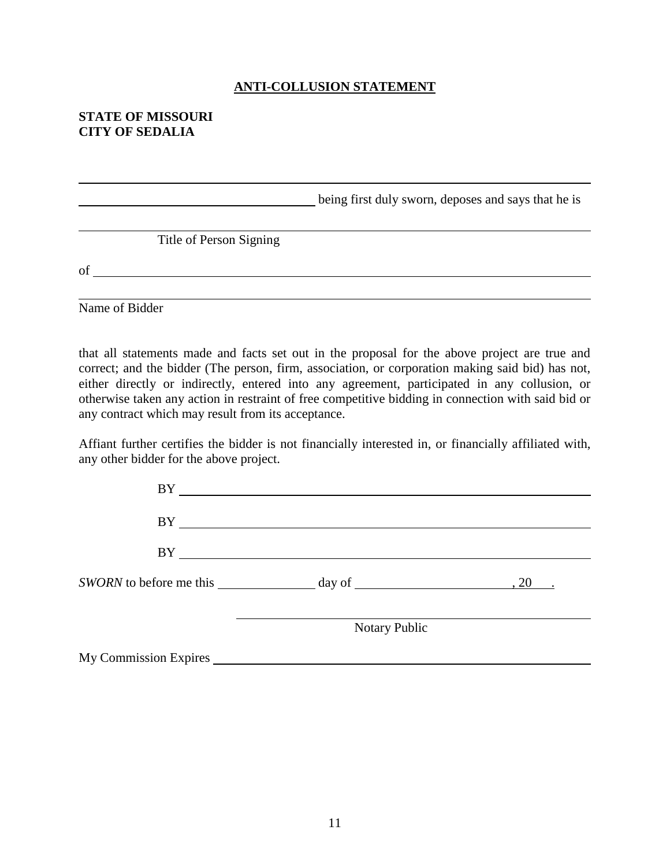#### **ANTI-COLLUSION STATEMENT**

### **STATE OF MISSOURI CITY OF SEDALIA**

**being first duly sworn, deposes and says that he is** Title of Person Signing of

Name of Bidder

that all statements made and facts set out in the proposal for the above project are true and correct; and the bidder (The person, firm, association, or corporation making said bid) has not, either directly or indirectly, entered into any agreement, participated in any collusion, or otherwise taken any action in restraint of free competitive bidding in connection with said bid or any contract which may result from its acceptance.

Affiant further certifies the bidder is not financially interested in, or financially affiliated with, any other bidder for the above project.

|                                                                              | <b>Notary Public</b> |  |  |
|------------------------------------------------------------------------------|----------------------|--|--|
| SWORN to before me this $\_\_\_\_\_\_\$ day of $\_\_\_\_\_\_\_\_\_\_\_$ . 20 |                      |  |  |
|                                                                              |                      |  |  |
|                                                                              |                      |  |  |
| <b>BY</b>                                                                    |                      |  |  |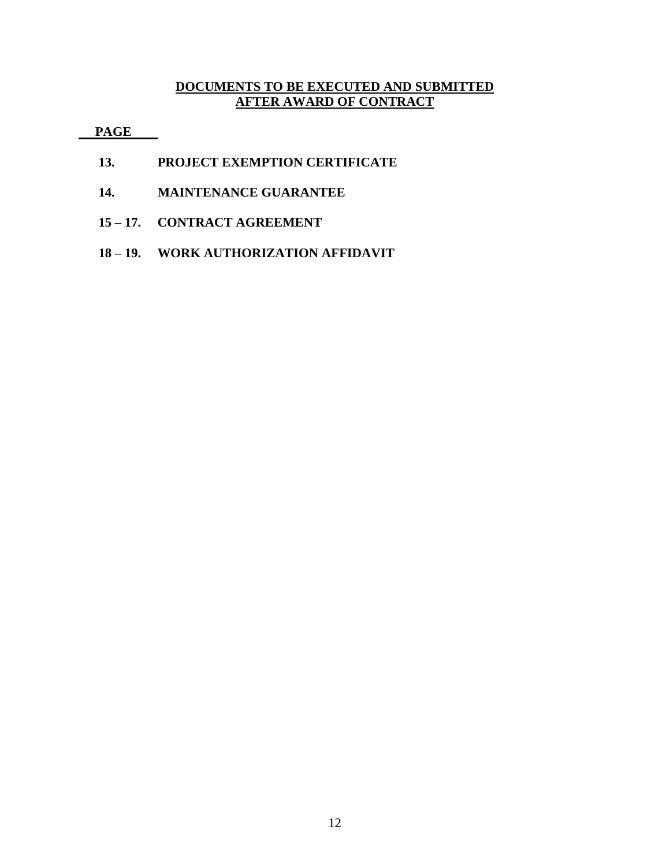## **DOCUMENTS TO BE EXECUTED AND SUBMITTED AFTER AWARD OF CONTRACT**

 **PAGE**

- **13. PROJECT EXEMPTION CERTIFICATE**
- **14. MAINTENANCE GUARANTEE**
- **15 – 17. CONTRACT AGREEMENT**
- **18 – 19. WORK AUTHORIZATION AFFIDAVIT**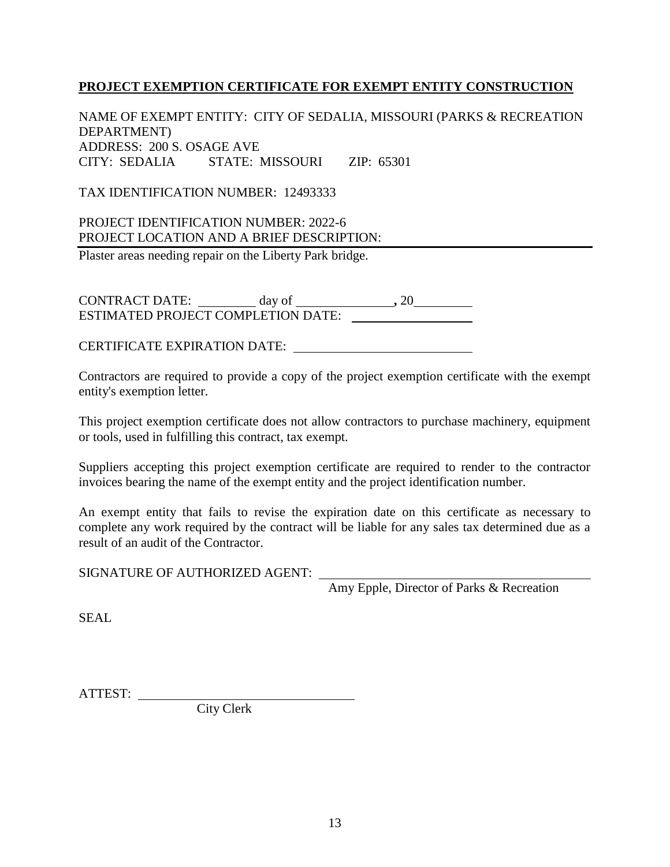## **PROJECT EXEMPTION CERTIFICATE FOR EXEMPT ENTITY CONSTRUCTION**

NAME OF EXEMPT ENTITY: CITY OF SEDALIA, MISSOURI (PARKS & RECREATION DEPARTMENT) ADDRESS: 200 S. OSAGE AVE CITY: SEDALIA STATE: MISSOURI ZIP: 65301

TAX IDENTIFICATION NUMBER: 12493333

PROJECT IDENTIFICATION NUMBER: 2022-6 PROJECT LOCATION AND A BRIEF DESCRIPTION: Plaster areas needing repair on the Liberty Park bridge.

CONTRACT DATE: day of **,** 20 ESTIMATED PROJECT COMPLETION DATE:

CERTIFICATE EXPIRATION DATE:

Contractors are required to provide a copy of the project exemption certificate with the exempt entity's exemption letter.

This project exemption certificate does not allow contractors to purchase machinery, equipment or tools, used in fulfilling this contract, tax exempt.

Suppliers accepting this project exemption certificate are required to render to the contractor invoices bearing the name of the exempt entity and the project identification number.

An exempt entity that fails to revise the expiration date on this certificate as necessary to complete any work required by the contract will be liable for any sales tax determined due as a result of an audit of the Contractor.

SIGNATURE OF AUTHORIZED AGENT:

Amy Epple, Director of Parks & Recreation

SEAL

ATTEST:

City Clerk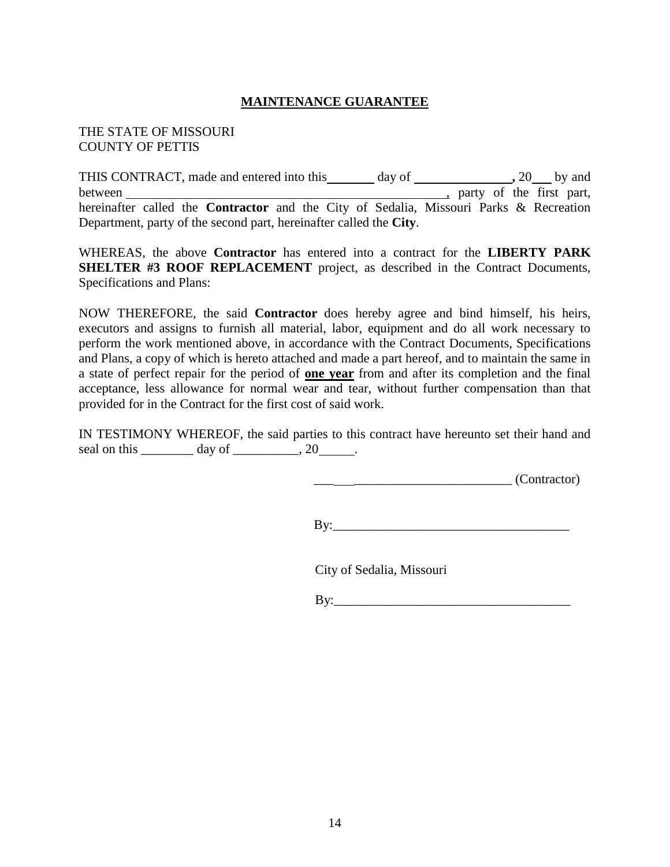## **MAINTENANCE GUARANTEE**

#### THE STATE OF MISSOURI COUNTY OF PETTIS

THIS CONTRACT, made and entered into this day of **,** 20 by and between , party of the first part, hereinafter called the **Contractor** and the City of Sedalia, Missouri Parks & Recreation Department, party of the second part, hereinafter called the **City**.

WHEREAS, the above **Contractor** has entered into a contract for the **LIBERTY PARK SHELTER #3 ROOF REPLACEMENT** project, as described in the Contract Documents, Specifications and Plans:

NOW THEREFORE, the said **Contractor** does hereby agree and bind himself, his heirs, executors and assigns to furnish all material, labor, equipment and do all work necessary to perform the work mentioned above, in accordance with the Contract Documents, Specifications and Plans, a copy of which is hereto attached and made a part hereof, and to maintain the same in a state of perfect repair for the period of **one year** from and after its completion and the final acceptance, less allowance for normal wear and tear, without further compensation than that provided for in the Contract for the first cost of said work.

IN TESTIMONY WHEREOF, the said parties to this contract have hereunto set their hand and seal on this  $\_\_\_\_\_$  day of  $\_\_\_\_\_$ , 20  $\_\_\_\$ .

 $\frac{1}{\sqrt{1-\frac{1}{2}}\sqrt{1-\frac{1}{2}}\sqrt{1-\frac{1}{2}}\sqrt{1-\frac{1}{2}}\sqrt{1-\frac{1}{2}}}{\sqrt{1-\frac{1}{2}}\sqrt{1-\frac{1}{2}}\sqrt{1-\frac{1}{2}}\sqrt{1-\frac{1}{2}}\sqrt{1-\frac{1}{2}}\sqrt{1-\frac{1}{2}}\sqrt{1-\frac{1}{2}}\sqrt{1-\frac{1}{2}}\sqrt{1-\frac{1}{2}}\sqrt{1-\frac{1}{2}}\sqrt{1-\frac{1}{2}}\sqrt{1-\frac{1}{2}}\sqrt{1-\frac{1}{2}}\sqrt{1-\frac{1}{2}}\sqrt{1-\$ 

 $By$ :

City of Sedalia, Missouri

 $\mathbf{B} \mathbf{v}$ :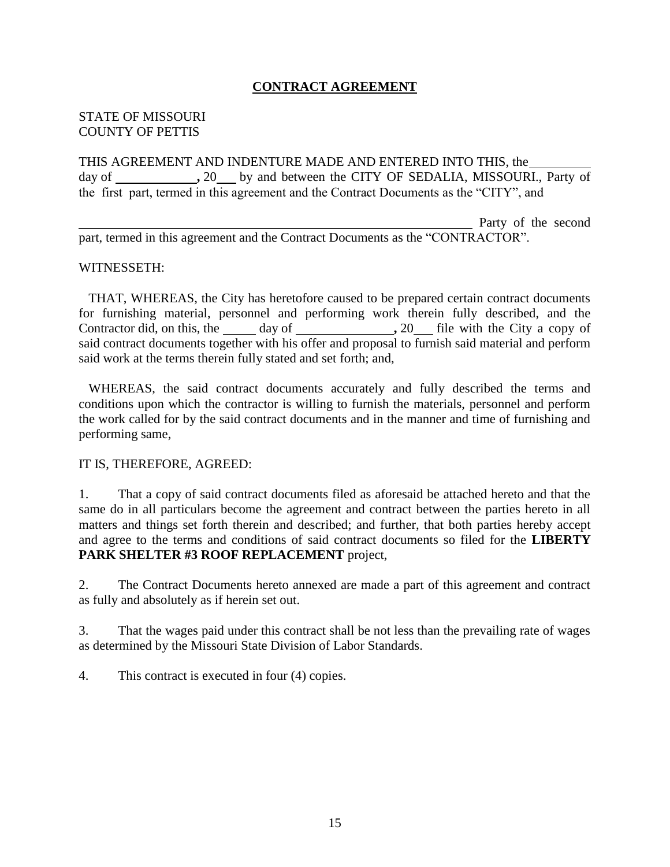## **CONTRACT AGREEMENT**

#### STATE OF MISSOURI COUNTY OF PETTIS

THIS AGREEMENT AND INDENTURE MADE AND ENTERED INTO THIS, the day of \_\_\_\_\_\_\_\_\_\_\_\_\_\_, 20\_\_\_\_ by and between the CITY OF SEDALIA, MISSOURI., Party of the first part, termed in this agreement and the Contract Documents as the "CITY", and

 Party of the second part, termed in this agreement and the Contract Documents as the "CONTRACTOR".

#### WITNESSETH:

 THAT, WHEREAS, the City has heretofore caused to be prepared certain contract documents for furnishing material, personnel and performing work therein fully described, and the Contractor did, on this, the <u>same day of second</u> and solution of the City a copy of said contract documents together with his offer and proposal to furnish said material and perform said work at the terms therein fully stated and set forth; and,

 WHEREAS, the said contract documents accurately and fully described the terms and conditions upon which the contractor is willing to furnish the materials, personnel and perform the work called for by the said contract documents and in the manner and time of furnishing and performing same,

#### IT IS, THEREFORE, AGREED:

1. That a copy of said contract documents filed as aforesaid be attached hereto and that the same do in all particulars become the agreement and contract between the parties hereto in all matters and things set forth therein and described; and further, that both parties hereby accept and agree to the terms and conditions of said contract documents so filed for the **LIBERTY PARK SHELTER #3 ROOF REPLACEMENT** project,

2. The Contract Documents hereto annexed are made a part of this agreement and contract as fully and absolutely as if herein set out.

3. That the wages paid under this contract shall be not less than the prevailing rate of wages as determined by the Missouri State Division of Labor Standards.

4. This contract is executed in four (4) copies.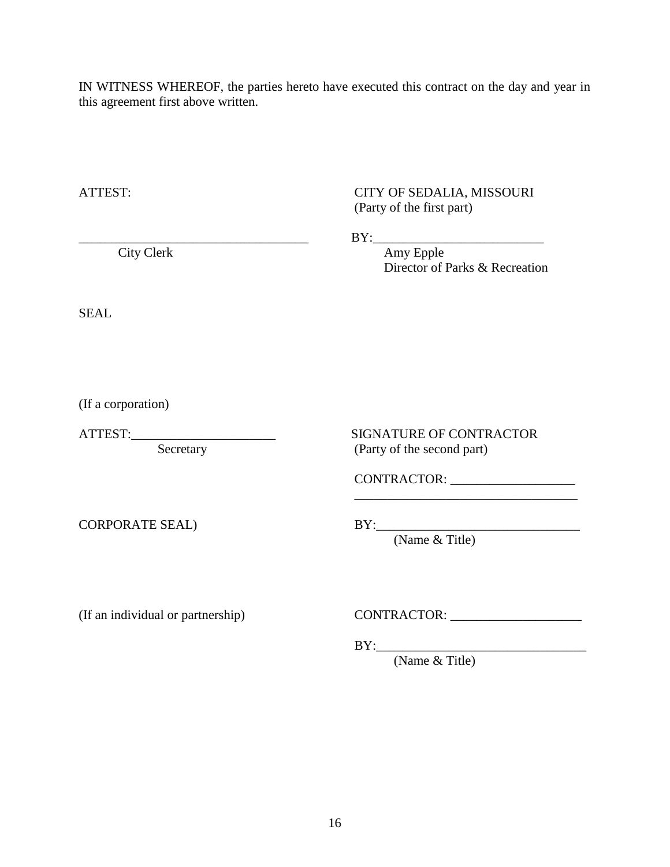IN WITNESS WHEREOF, the parties hereto have executed this contract on the day and year in this agreement first above written.

ATTEST: CITY OF SEDALIA, MISSOURI (Party of the first part) \_\_\_\_\_\_\_\_\_\_\_\_\_\_\_\_\_\_\_\_\_\_\_\_\_\_\_\_\_\_\_\_\_\_\_ BY:\_\_\_\_\_\_\_\_\_\_\_\_\_\_\_\_\_\_\_\_\_\_\_\_\_\_ City Clerk **Amy Epple**  Director of Parks & Recreation SEAL ATTEST:\_\_\_\_\_\_\_\_\_\_\_\_\_\_\_\_\_\_\_\_\_\_ SIGNATURE OF CONTRACTOR Secretary (Party of the second part) CONTRACTOR: \_\_\_\_\_\_\_\_\_\_\_\_\_\_\_\_\_\_\_ \_\_\_\_\_\_\_\_\_\_\_\_\_\_\_\_\_\_\_\_\_\_\_\_\_\_\_\_\_\_\_\_\_\_ CORPORATE SEAL) BY:\_\_\_\_\_\_\_\_\_\_\_\_\_\_\_\_\_\_\_\_\_\_\_\_\_\_\_\_\_\_\_ (Name & Title)

(If an individual or partnership) CONTRACTOR: \_\_\_\_\_\_\_\_\_\_\_\_\_\_\_\_\_\_\_\_\_\_\_\_\_\_\_\_\_\_\_\_\_\_\_

BY:\_\_\_\_\_\_\_\_\_\_\_\_\_\_\_\_\_\_\_\_\_\_\_\_\_\_\_\_\_\_\_\_

(Name & Title)

(If a corporation)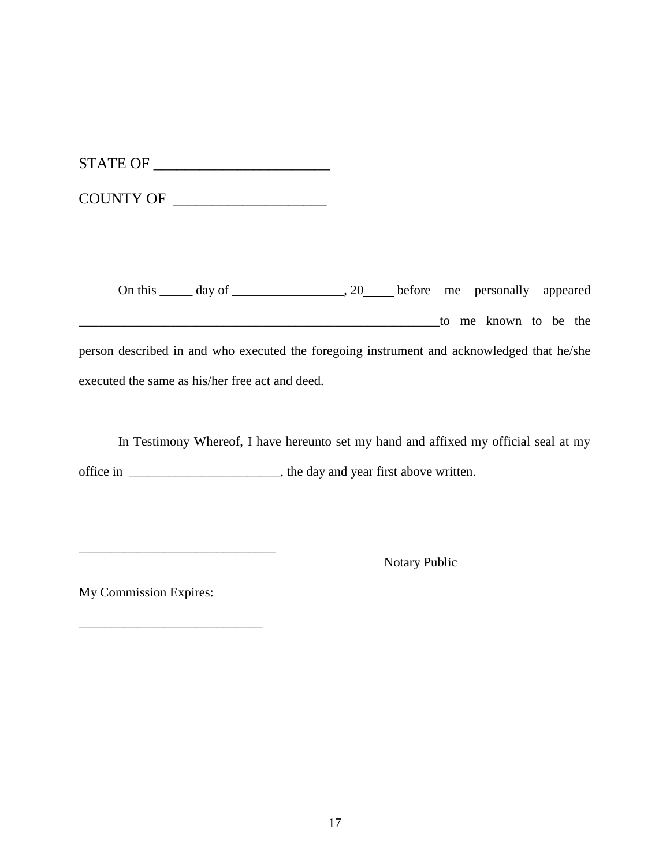| <b>STATE OF</b> |  |
|-----------------|--|
|-----------------|--|

| <b>COUNTY OF</b> |  |
|------------------|--|
|------------------|--|

On this \_\_\_\_\_ day of \_\_\_\_\_\_\_\_\_\_\_\_\_\_\_, 20\_\_\_\_ before me personally appeared \_\_\_\_\_\_\_\_\_\_\_\_\_\_\_\_\_\_\_\_\_\_\_\_\_\_\_\_\_\_\_\_\_\_\_\_\_\_\_\_\_\_\_\_\_\_\_\_\_\_\_\_\_\_\_to me known to be the person described in and who executed the foregoing instrument and acknowledged that he/she executed the same as his/her free act and deed.

In Testimony Whereof, I have hereunto set my hand and affixed my official seal at my office in \_\_\_\_\_\_\_\_\_\_\_\_\_\_\_\_\_\_\_\_\_\_\_, the day and year first above written.

Notary Public

My Commission Expires:

\_\_\_\_\_\_\_\_\_\_\_\_\_\_\_\_\_\_\_\_\_\_\_\_\_\_\_\_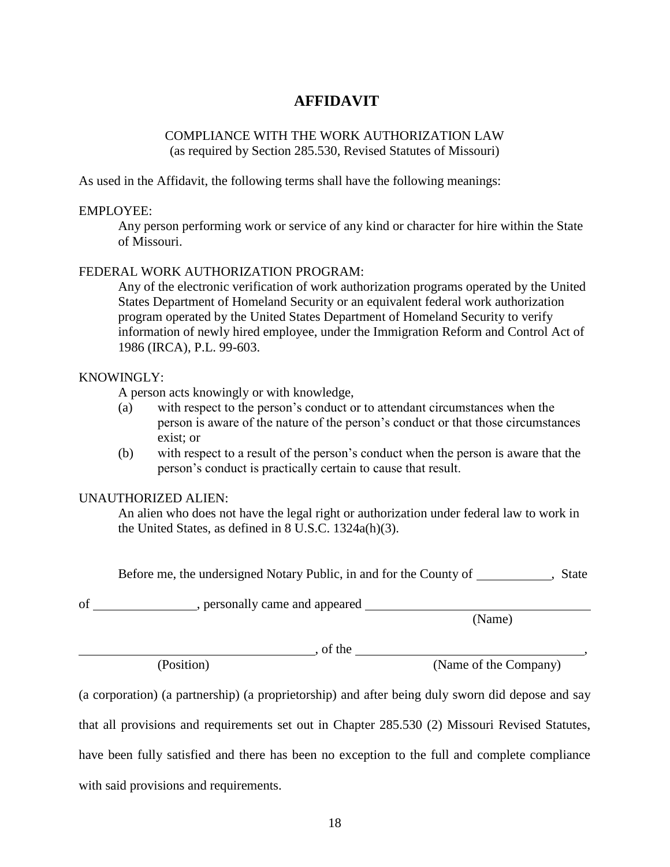# **AFFIDAVIT**

## COMPLIANCE WITH THE WORK AUTHORIZATION LAW (as required by Section 285.530, Revised Statutes of Missouri)

As used in the Affidavit, the following terms shall have the following meanings:

#### EMPLOYEE:

Any person performing work or service of any kind or character for hire within the State of Missouri.

#### FEDERAL WORK AUTHORIZATION PROGRAM:

Any of the electronic verification of work authorization programs operated by the United States Department of Homeland Security or an equivalent federal work authorization program operated by the United States Department of Homeland Security to verify information of newly hired employee, under the Immigration Reform and Control Act of 1986 (IRCA), P.L. 99-603.

#### KNOWINGLY:

A person acts knowingly or with knowledge,

- (a) with respect to the person's conduct or to attendant circumstances when the person is aware of the nature of the person's conduct or that those circumstances exist; or
- (b) with respect to a result of the person's conduct when the person is aware that the person's conduct is practically certain to cause that result.

#### UNAUTHORIZED ALIEN:

An alien who does not have the legal right or authorization under federal law to work in the United States, as defined in 8 U.S.C. 1324a(h)(3).

Before me, the undersigned Notary Public, in and for the County of , State

of \_\_\_\_\_\_\_\_\_\_\_\_\_\_\_\_, personally came and appeared

(Name)

(Position) (Name of the Company)

, of the  $\qquad \qquad$ ,

(a corporation) (a partnership) (a proprietorship) and after being duly sworn did depose and say that all provisions and requirements set out in Chapter 285.530 (2) Missouri Revised Statutes, have been fully satisfied and there has been no exception to the full and complete compliance with said provisions and requirements.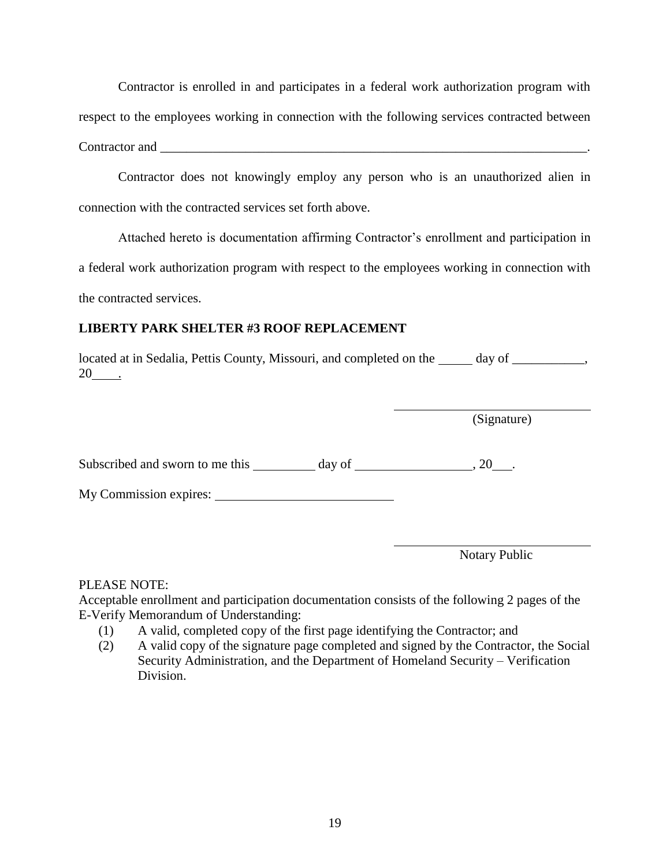Contractor is enrolled in and participates in a federal work authorization program with respect to the employees working in connection with the following services contracted between Contractor and  $\blacksquare$ 

 Contractor does not knowingly employ any person who is an unauthorized alien in connection with the contracted services set forth above.

 Attached hereto is documentation affirming Contractor's enrollment and participation in a federal work authorization program with respect to the employees working in connection with the contracted services.

# **LIBERTY PARK SHELTER #3 ROOF REPLACEMENT**

located at in Sedalia, Pettis County, Missouri, and completed on the  $\_\_\_\_\_\_day$  of  $\_\_\_\_\_\_\_$ 20 .

(Signature)

Subscribed and sworn to me this day of , 20 .

My Commission expires:

Notary Public

PLEASE NOTE:

Acceptable enrollment and participation documentation consists of the following 2 pages of the E-Verify Memorandum of Understanding:

- (1) A valid, completed copy of the first page identifying the Contractor; and
- (2) A valid copy of the signature page completed and signed by the Contractor, the Social Security Administration, and the Department of Homeland Security – Verification Division.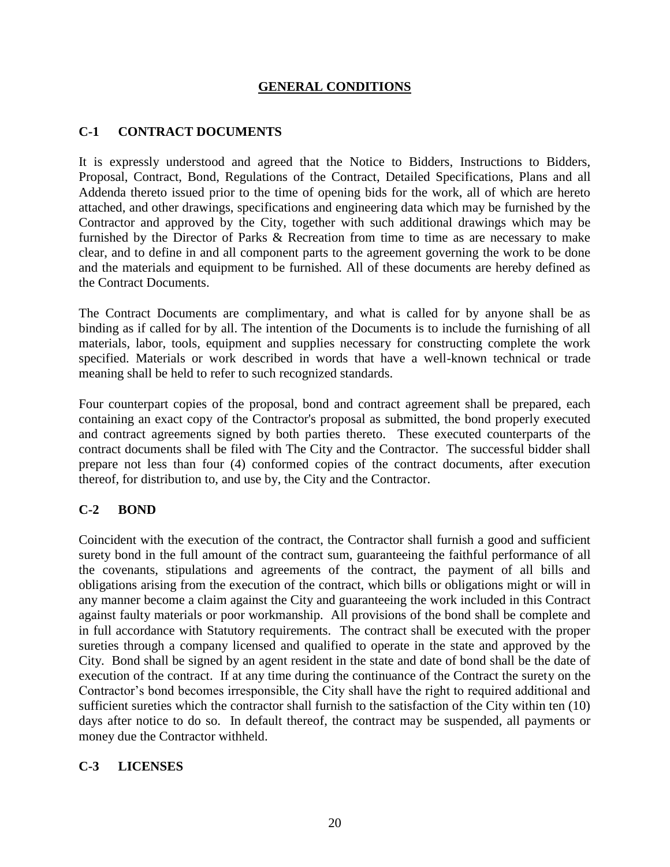### **GENERAL CONDITIONS**

## **C-1 CONTRACT DOCUMENTS**

It is expressly understood and agreed that the Notice to Bidders, Instructions to Bidders, Proposal, Contract, Bond, Regulations of the Contract, Detailed Specifications, Plans and all Addenda thereto issued prior to the time of opening bids for the work, all of which are hereto attached, and other drawings, specifications and engineering data which may be furnished by the Contractor and approved by the City, together with such additional drawings which may be furnished by the Director of Parks & Recreation from time to time as are necessary to make clear, and to define in and all component parts to the agreement governing the work to be done and the materials and equipment to be furnished. All of these documents are hereby defined as the Contract Documents.

The Contract Documents are complimentary, and what is called for by anyone shall be as binding as if called for by all. The intention of the Documents is to include the furnishing of all materials, labor, tools, equipment and supplies necessary for constructing complete the work specified. Materials or work described in words that have a well-known technical or trade meaning shall be held to refer to such recognized standards.

Four counterpart copies of the proposal, bond and contract agreement shall be prepared, each containing an exact copy of the Contractor's proposal as submitted, the bond properly executed and contract agreements signed by both parties thereto. These executed counterparts of the contract documents shall be filed with The City and the Contractor. The successful bidder shall prepare not less than four (4) conformed copies of the contract documents, after execution thereof, for distribution to, and use by, the City and the Contractor.

#### **C-2 BOND**

Coincident with the execution of the contract, the Contractor shall furnish a good and sufficient surety bond in the full amount of the contract sum, guaranteeing the faithful performance of all the covenants, stipulations and agreements of the contract, the payment of all bills and obligations arising from the execution of the contract, which bills or obligations might or will in any manner become a claim against the City and guaranteeing the work included in this Contract against faulty materials or poor workmanship. All provisions of the bond shall be complete and in full accordance with Statutory requirements. The contract shall be executed with the proper sureties through a company licensed and qualified to operate in the state and approved by the City. Bond shall be signed by an agent resident in the state and date of bond shall be the date of execution of the contract. If at any time during the continuance of the Contract the surety on the Contractor's bond becomes irresponsible, the City shall have the right to required additional and sufficient sureties which the contractor shall furnish to the satisfaction of the City within ten (10) days after notice to do so. In default thereof, the contract may be suspended, all payments or money due the Contractor withheld.

#### **C-3 LICENSES**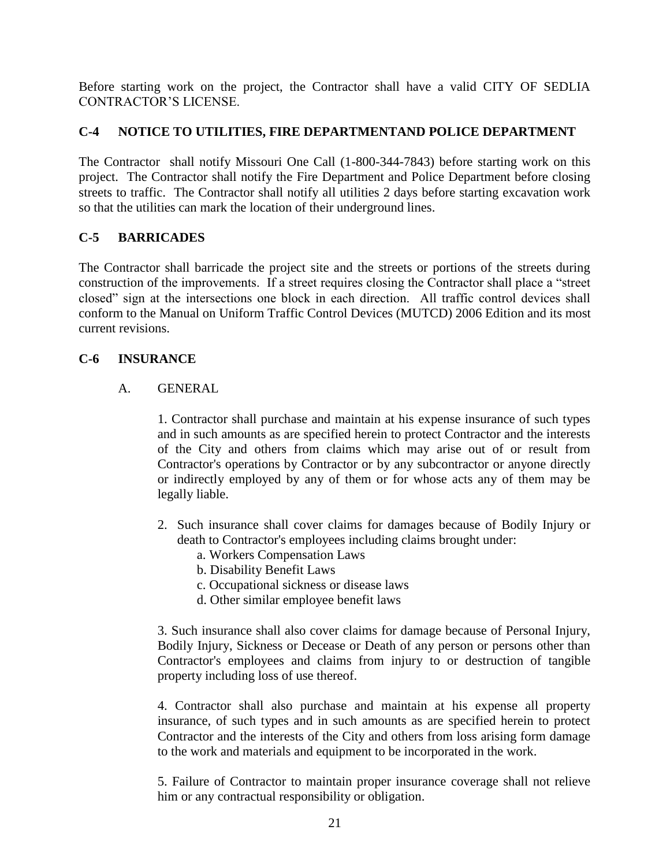Before starting work on the project, the Contractor shall have a valid CITY OF SEDLIA CONTRACTOR'S LICENSE.

# **C-4 NOTICE TO UTILITIES, FIRE DEPARTMENTAND POLICE DEPARTMENT**

The Contractor shall notify Missouri One Call (1-800-344-7843) before starting work on this project. The Contractor shall notify the Fire Department and Police Department before closing streets to traffic. The Contractor shall notify all utilities 2 days before starting excavation work so that the utilities can mark the location of their underground lines.

# **C-5 BARRICADES**

The Contractor shall barricade the project site and the streets or portions of the streets during construction of the improvements. If a street requires closing the Contractor shall place a "street closed" sign at the intersections one block in each direction. All traffic control devices shall conform to the Manual on Uniform Traffic Control Devices (MUTCD) 2006 Edition and its most current revisions.

## **C-6 INSURANCE**

## A. GENERAL

1. Contractor shall purchase and maintain at his expense insurance of such types and in such amounts as are specified herein to protect Contractor and the interests of the City and others from claims which may arise out of or result from Contractor's operations by Contractor or by any subcontractor or anyone directly or indirectly employed by any of them or for whose acts any of them may be legally liable.

- 2. Such insurance shall cover claims for damages because of Bodily Injury or death to Contractor's employees including claims brought under:
	- a. Workers Compensation Laws
	- b. Disability Benefit Laws
	- c. Occupational sickness or disease laws
	- d. Other similar employee benefit laws

3. Such insurance shall also cover claims for damage because of Personal Injury, Bodily Injury, Sickness or Decease or Death of any person or persons other than Contractor's employees and claims from injury to or destruction of tangible property including loss of use thereof.

4. Contractor shall also purchase and maintain at his expense all property insurance, of such types and in such amounts as are specified herein to protect Contractor and the interests of the City and others from loss arising form damage to the work and materials and equipment to be incorporated in the work.

5. Failure of Contractor to maintain proper insurance coverage shall not relieve him or any contractual responsibility or obligation.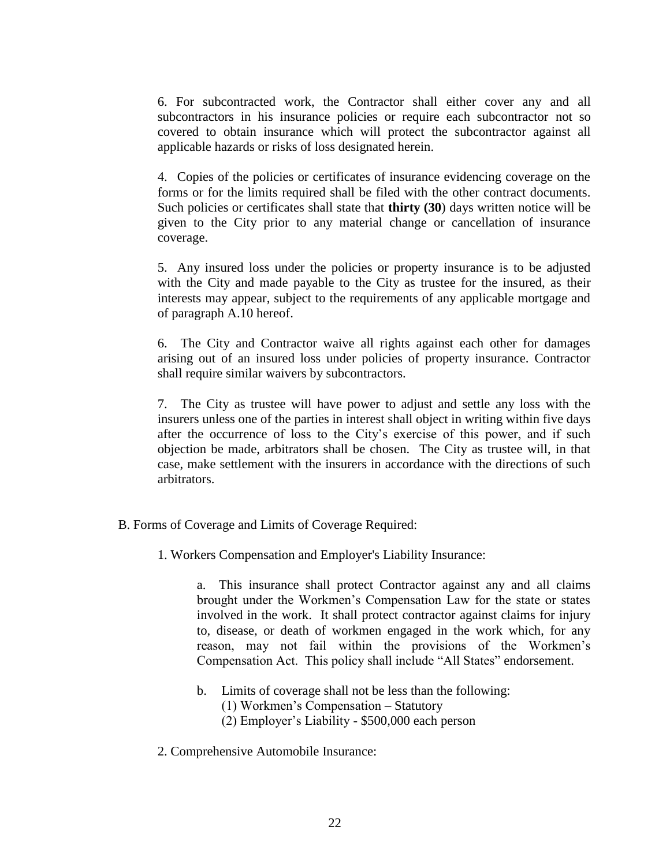6. For subcontracted work, the Contractor shall either cover any and all subcontractors in his insurance policies or require each subcontractor not so covered to obtain insurance which will protect the subcontractor against all applicable hazards or risks of loss designated herein.

4. Copies of the policies or certificates of insurance evidencing coverage on the forms or for the limits required shall be filed with the other contract documents. Such policies or certificates shall state that **thirty (30**) days written notice will be given to the City prior to any material change or cancellation of insurance coverage.

5. Any insured loss under the policies or property insurance is to be adjusted with the City and made payable to the City as trustee for the insured, as their interests may appear, subject to the requirements of any applicable mortgage and of paragraph A.10 hereof.

6. The City and Contractor waive all rights against each other for damages arising out of an insured loss under policies of property insurance. Contractor shall require similar waivers by subcontractors.

7. The City as trustee will have power to adjust and settle any loss with the insurers unless one of the parties in interest shall object in writing within five days after the occurrence of loss to the City's exercise of this power, and if such objection be made, arbitrators shall be chosen. The City as trustee will, in that case, make settlement with the insurers in accordance with the directions of such arbitrators.

- B. Forms of Coverage and Limits of Coverage Required:
	- 1. Workers Compensation and Employer's Liability Insurance:

a. This insurance shall protect Contractor against any and all claims brought under the Workmen's Compensation Law for the state or states involved in the work. It shall protect contractor against claims for injury to, disease, or death of workmen engaged in the work which, for any reason, may not fail within the provisions of the Workmen's Compensation Act. This policy shall include "All States" endorsement.

- b. Limits of coverage shall not be less than the following:
	- (1) Workmen's Compensation Statutory
	- (2) Employer's Liability \$500,000 each person
- 2. Comprehensive Automobile Insurance: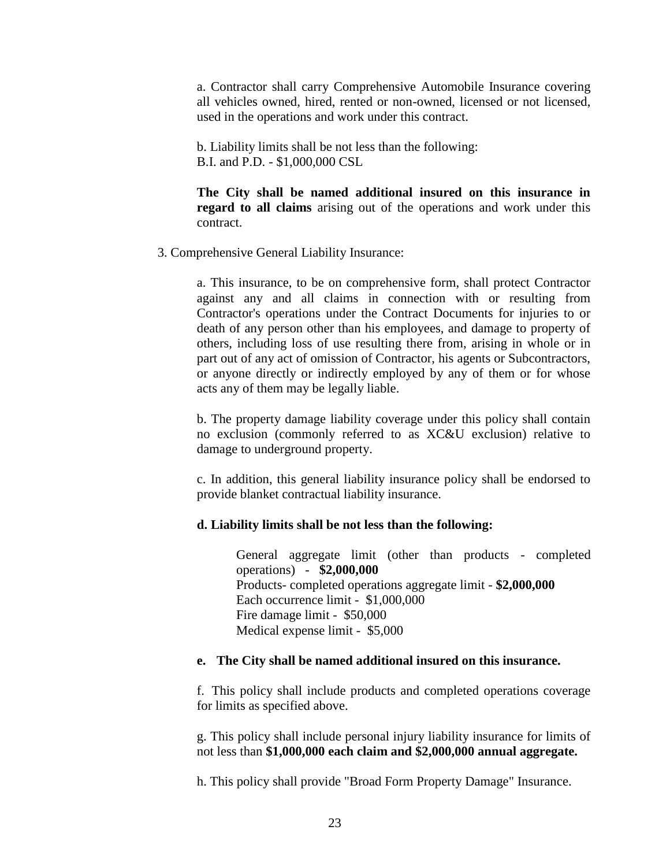a. Contractor shall carry Comprehensive Automobile Insurance covering all vehicles owned, hired, rented or non-owned, licensed or not licensed, used in the operations and work under this contract.

 b. Liability limits shall be not less than the following: B.I. and P.D. - \$1,000,000 CSL

**The City shall be named additional insured on this insurance in regard to all claims** arising out of the operations and work under this contract.

3. Comprehensive General Liability Insurance:

a. This insurance, to be on comprehensive form, shall protect Contractor against any and all claims in connection with or resulting from Contractor's operations under the Contract Documents for injuries to or death of any person other than his employees, and damage to property of others, including loss of use resulting there from, arising in whole or in part out of any act of omission of Contractor, his agents or Subcontractors, or anyone directly or indirectly employed by any of them or for whose acts any of them may be legally liable.

b. The property damage liability coverage under this policy shall contain no exclusion (commonly referred to as XC&U exclusion) relative to damage to underground property.

c. In addition, this general liability insurance policy shall be endorsed to provide blanket contractual liability insurance.

#### **d. Liability limits shall be not less than the following:**

General aggregate limit (other than products - completed operations) - **\$2,000,000** Products- completed operations aggregate limit - **\$2,000,000** Each occurrence limit - \$1,000,000 Fire damage limit - \$50,000 Medical expense limit - \$5,000

#### **e. The City shall be named additional insured on this insurance.**

f. This policy shall include products and completed operations coverage for limits as specified above.

g. This policy shall include personal injury liability insurance for limits of not less than **\$1,000,000 each claim and \$2,000,000 annual aggregate.**

h. This policy shall provide "Broad Form Property Damage" Insurance.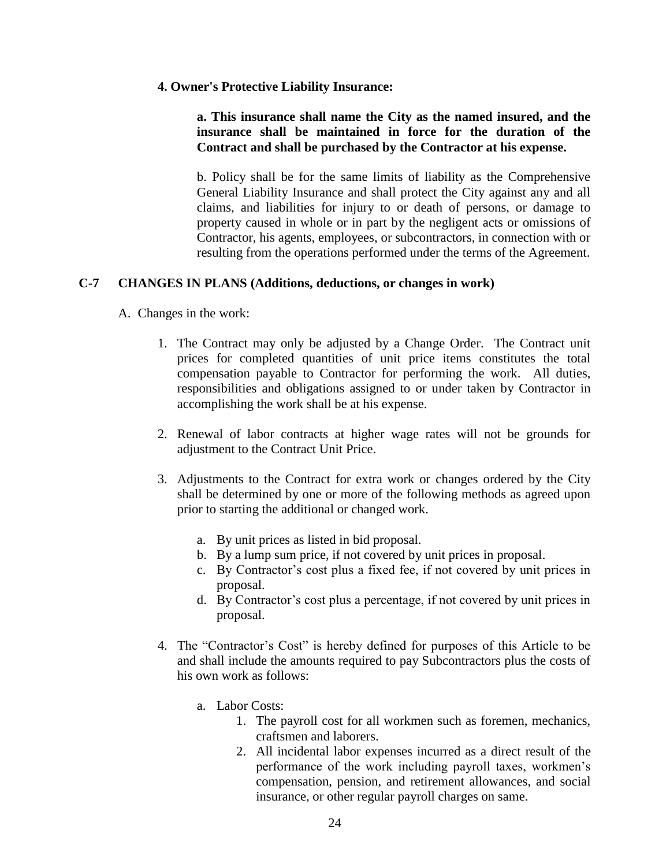#### **4. Owner's Protective Liability Insurance:**

#### **a. This insurance shall name the City as the named insured, and the insurance shall be maintained in force for the duration of the Contract and shall be purchased by the Contractor at his expense.**

b. Policy shall be for the same limits of liability as the Comprehensive General Liability Insurance and shall protect the City against any and all claims, and liabilities for injury to or death of persons, or damage to property caused in whole or in part by the negligent acts or omissions of Contractor, his agents, employees, or subcontractors, in connection with or resulting from the operations performed under the terms of the Agreement.

#### **C-7 CHANGES IN PLANS (Additions, deductions, or changes in work)**

#### A. Changes in the work:

- 1. The Contract may only be adjusted by a Change Order. The Contract unit prices for completed quantities of unit price items constitutes the total compensation payable to Contractor for performing the work. All duties, responsibilities and obligations assigned to or under taken by Contractor in accomplishing the work shall be at his expense.
- 2. Renewal of labor contracts at higher wage rates will not be grounds for adjustment to the Contract Unit Price.
- 3. Adjustments to the Contract for extra work or changes ordered by the City shall be determined by one or more of the following methods as agreed upon prior to starting the additional or changed work.
	- a. By unit prices as listed in bid proposal.
	- b. By a lump sum price, if not covered by unit prices in proposal.
	- c. By Contractor's cost plus a fixed fee, if not covered by unit prices in proposal.
	- d. By Contractor's cost plus a percentage, if not covered by unit prices in proposal.
- 4. The "Contractor's Cost" is hereby defined for purposes of this Article to be and shall include the amounts required to pay Subcontractors plus the costs of his own work as follows:
	- a. Labor Costs:
		- 1. The payroll cost for all workmen such as foremen, mechanics, craftsmen and laborers.
		- 2. All incidental labor expenses incurred as a direct result of the performance of the work including payroll taxes, workmen's compensation, pension, and retirement allowances, and social insurance, or other regular payroll charges on same.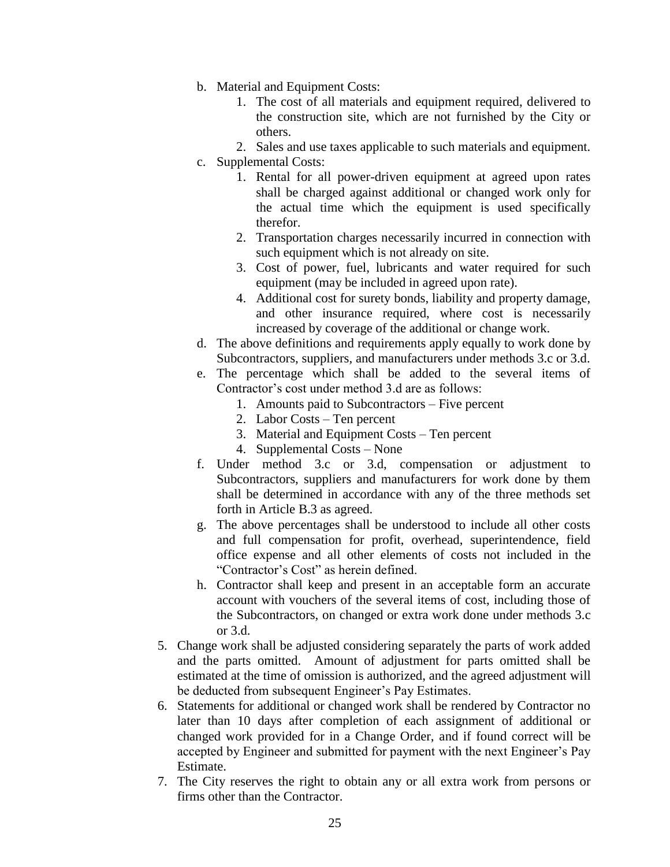- b. Material and Equipment Costs:
	- 1. The cost of all materials and equipment required, delivered to the construction site, which are not furnished by the City or others.
	- 2. Sales and use taxes applicable to such materials and equipment.
- c. Supplemental Costs:
	- 1. Rental for all power-driven equipment at agreed upon rates shall be charged against additional or changed work only for the actual time which the equipment is used specifically therefor.
	- 2. Transportation charges necessarily incurred in connection with such equipment which is not already on site.
	- 3. Cost of power, fuel, lubricants and water required for such equipment (may be included in agreed upon rate).
	- 4. Additional cost for surety bonds, liability and property damage, and other insurance required, where cost is necessarily increased by coverage of the additional or change work.
- d. The above definitions and requirements apply equally to work done by Subcontractors, suppliers, and manufacturers under methods 3.c or 3.d.
- e. The percentage which shall be added to the several items of Contractor's cost under method 3.d are as follows:
	- 1. Amounts paid to Subcontractors Five percent
	- 2. Labor Costs Ten percent
	- 3. Material and Equipment Costs Ten percent
	- 4. Supplemental Costs None
- f. Under method 3.c or 3.d, compensation or adjustment to Subcontractors, suppliers and manufacturers for work done by them shall be determined in accordance with any of the three methods set forth in Article B.3 as agreed.
- g. The above percentages shall be understood to include all other costs and full compensation for profit, overhead, superintendence, field office expense and all other elements of costs not included in the "Contractor's Cost" as herein defined.
- h. Contractor shall keep and present in an acceptable form an accurate account with vouchers of the several items of cost, including those of the Subcontractors, on changed or extra work done under methods 3.c or 3.d.
- 5. Change work shall be adjusted considering separately the parts of work added and the parts omitted. Amount of adjustment for parts omitted shall be estimated at the time of omission is authorized, and the agreed adjustment will be deducted from subsequent Engineer's Pay Estimates.
- 6. Statements for additional or changed work shall be rendered by Contractor no later than 10 days after completion of each assignment of additional or changed work provided for in a Change Order, and if found correct will be accepted by Engineer and submitted for payment with the next Engineer's Pay Estimate.
- 7. The City reserves the right to obtain any or all extra work from persons or firms other than the Contractor.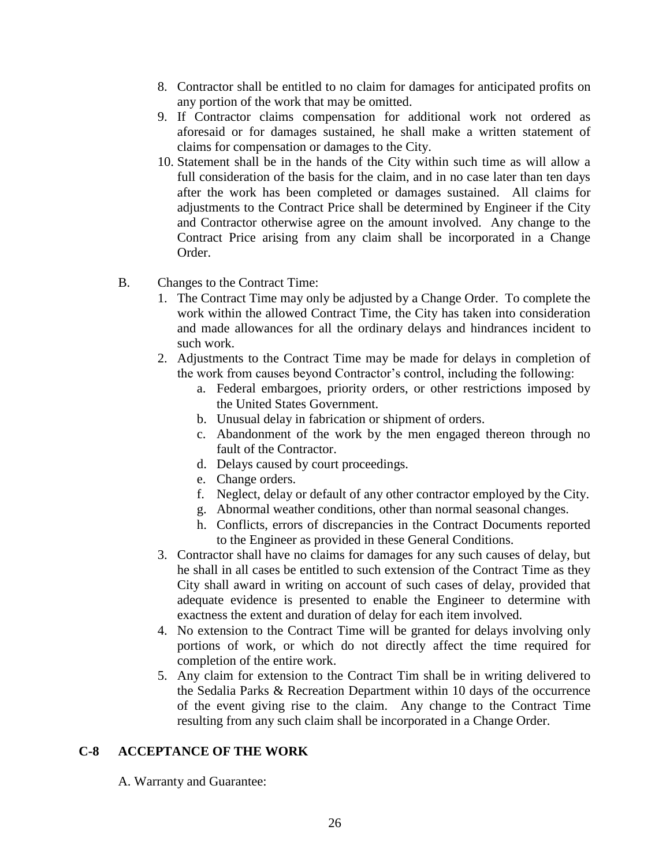- 8. Contractor shall be entitled to no claim for damages for anticipated profits on any portion of the work that may be omitted.
- 9. If Contractor claims compensation for additional work not ordered as aforesaid or for damages sustained, he shall make a written statement of claims for compensation or damages to the City.
- 10. Statement shall be in the hands of the City within such time as will allow a full consideration of the basis for the claim, and in no case later than ten days after the work has been completed or damages sustained. All claims for adjustments to the Contract Price shall be determined by Engineer if the City and Contractor otherwise agree on the amount involved. Any change to the Contract Price arising from any claim shall be incorporated in a Change Order.
- B. Changes to the Contract Time:
	- 1. The Contract Time may only be adjusted by a Change Order. To complete the work within the allowed Contract Time, the City has taken into consideration and made allowances for all the ordinary delays and hindrances incident to such work.
	- 2. Adjustments to the Contract Time may be made for delays in completion of the work from causes beyond Contractor's control, including the following:
		- a. Federal embargoes, priority orders, or other restrictions imposed by the United States Government.
		- b. Unusual delay in fabrication or shipment of orders.
		- c. Abandonment of the work by the men engaged thereon through no fault of the Contractor.
		- d. Delays caused by court proceedings.
		- e. Change orders.
		- f. Neglect, delay or default of any other contractor employed by the City.
		- g. Abnormal weather conditions, other than normal seasonal changes.
		- h. Conflicts, errors of discrepancies in the Contract Documents reported to the Engineer as provided in these General Conditions.
	- 3. Contractor shall have no claims for damages for any such causes of delay, but he shall in all cases be entitled to such extension of the Contract Time as they City shall award in writing on account of such cases of delay, provided that adequate evidence is presented to enable the Engineer to determine with exactness the extent and duration of delay for each item involved.
	- 4. No extension to the Contract Time will be granted for delays involving only portions of work, or which do not directly affect the time required for completion of the entire work.
	- 5. Any claim for extension to the Contract Tim shall be in writing delivered to the Sedalia Parks & Recreation Department within 10 days of the occurrence of the event giving rise to the claim. Any change to the Contract Time resulting from any such claim shall be incorporated in a Change Order.

#### **C-8 ACCEPTANCE OF THE WORK**

A. Warranty and Guarantee: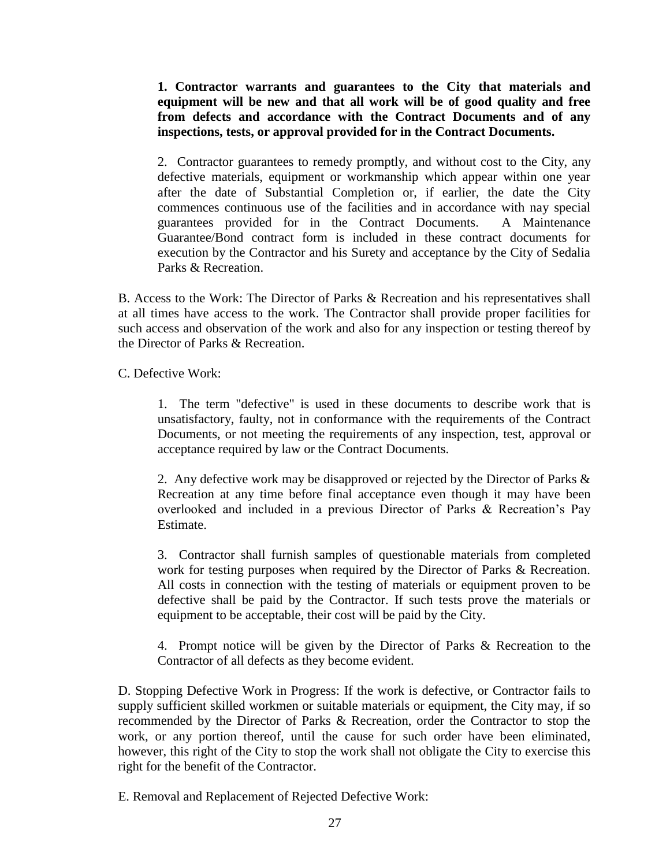**1. Contractor warrants and guarantees to the City that materials and equipment will be new and that all work will be of good quality and free from defects and accordance with the Contract Documents and of any inspections, tests, or approval provided for in the Contract Documents.**

2. Contractor guarantees to remedy promptly, and without cost to the City, any defective materials, equipment or workmanship which appear within one year after the date of Substantial Completion or, if earlier, the date the City commences continuous use of the facilities and in accordance with nay special guarantees provided for in the Contract Documents. A Maintenance Guarantee/Bond contract form is included in these contract documents for execution by the Contractor and his Surety and acceptance by the City of Sedalia Parks & Recreation.

B. Access to the Work: The Director of Parks & Recreation and his representatives shall at all times have access to the work. The Contractor shall provide proper facilities for such access and observation of the work and also for any inspection or testing thereof by the Director of Parks & Recreation.

C. Defective Work:

1. The term "defective" is used in these documents to describe work that is unsatisfactory, faulty, not in conformance with the requirements of the Contract Documents, or not meeting the requirements of any inspection, test, approval or acceptance required by law or the Contract Documents.

2. Any defective work may be disapproved or rejected by the Director of Parks & Recreation at any time before final acceptance even though it may have been overlooked and included in a previous Director of Parks & Recreation's Pay Estimate.

3. Contractor shall furnish samples of questionable materials from completed work for testing purposes when required by the Director of Parks & Recreation. All costs in connection with the testing of materials or equipment proven to be defective shall be paid by the Contractor. If such tests prove the materials or equipment to be acceptable, their cost will be paid by the City.

4. Prompt notice will be given by the Director of Parks & Recreation to the Contractor of all defects as they become evident.

D. Stopping Defective Work in Progress: If the work is defective, or Contractor fails to supply sufficient skilled workmen or suitable materials or equipment, the City may, if so recommended by the Director of Parks & Recreation, order the Contractor to stop the work, or any portion thereof, until the cause for such order have been eliminated, however, this right of the City to stop the work shall not obligate the City to exercise this right for the benefit of the Contractor.

E. Removal and Replacement of Rejected Defective Work: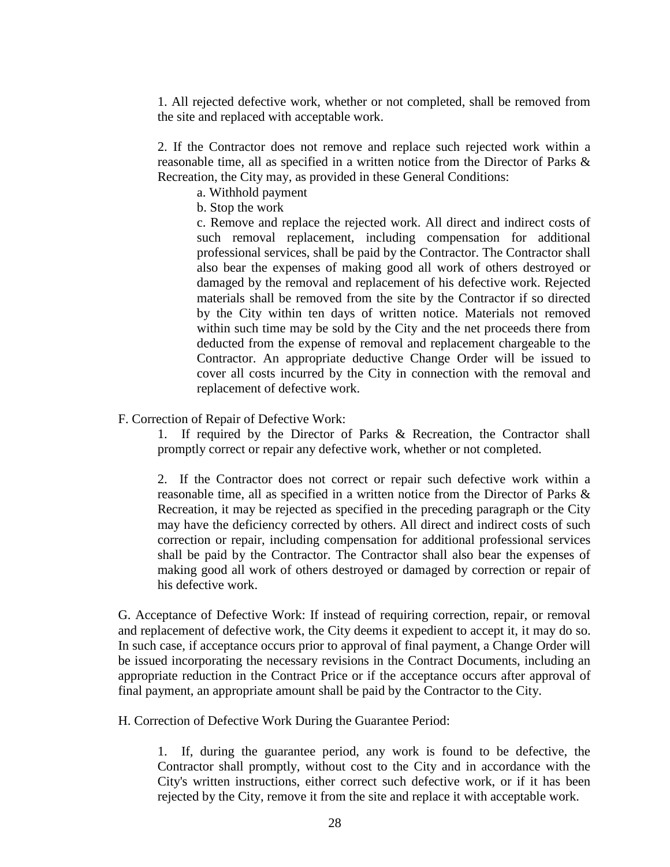1. All rejected defective work, whether or not completed, shall be removed from the site and replaced with acceptable work.

2. If the Contractor does not remove and replace such rejected work within a reasonable time, all as specified in a written notice from the Director of Parks & Recreation, the City may, as provided in these General Conditions:

- a. Withhold payment
- b. Stop the work

c. Remove and replace the rejected work. All direct and indirect costs of such removal replacement, including compensation for additional professional services, shall be paid by the Contractor. The Contractor shall also bear the expenses of making good all work of others destroyed or damaged by the removal and replacement of his defective work. Rejected materials shall be removed from the site by the Contractor if so directed by the City within ten days of written notice. Materials not removed within such time may be sold by the City and the net proceeds there from deducted from the expense of removal and replacement chargeable to the Contractor. An appropriate deductive Change Order will be issued to cover all costs incurred by the City in connection with the removal and replacement of defective work.

#### F. Correction of Repair of Defective Work:

1. If required by the Director of Parks & Recreation, the Contractor shall promptly correct or repair any defective work, whether or not completed.

2. If the Contractor does not correct or repair such defective work within a reasonable time, all as specified in a written notice from the Director of Parks & Recreation, it may be rejected as specified in the preceding paragraph or the City may have the deficiency corrected by others. All direct and indirect costs of such correction or repair, including compensation for additional professional services shall be paid by the Contractor. The Contractor shall also bear the expenses of making good all work of others destroyed or damaged by correction or repair of his defective work.

G. Acceptance of Defective Work: If instead of requiring correction, repair, or removal and replacement of defective work, the City deems it expedient to accept it, it may do so. In such case, if acceptance occurs prior to approval of final payment, a Change Order will be issued incorporating the necessary revisions in the Contract Documents, including an appropriate reduction in the Contract Price or if the acceptance occurs after approval of final payment, an appropriate amount shall be paid by the Contractor to the City.

H. Correction of Defective Work During the Guarantee Period:

1. If, during the guarantee period, any work is found to be defective, the Contractor shall promptly, without cost to the City and in accordance with the City's written instructions, either correct such defective work, or if it has been rejected by the City, remove it from the site and replace it with acceptable work.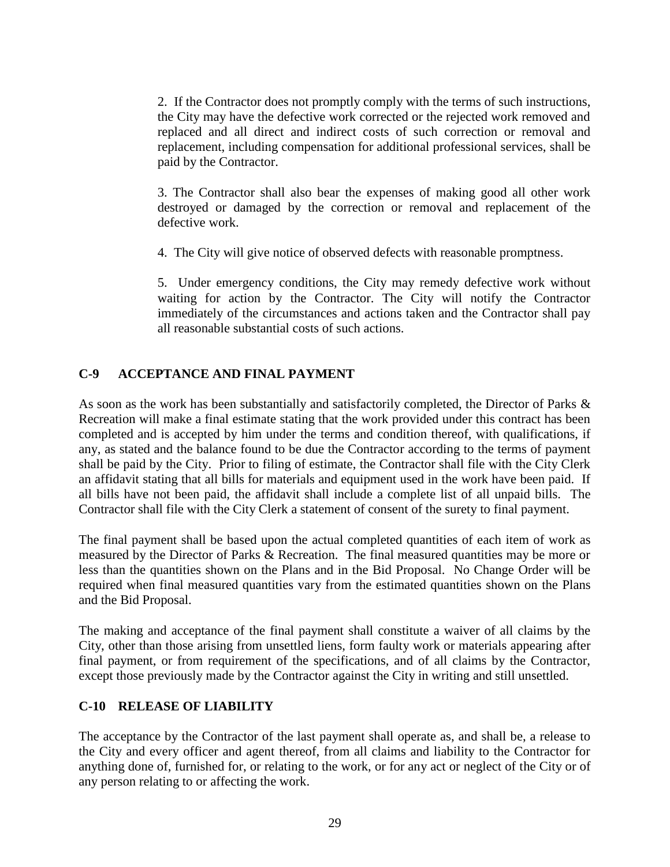2. If the Contractor does not promptly comply with the terms of such instructions, the City may have the defective work corrected or the rejected work removed and replaced and all direct and indirect costs of such correction or removal and replacement, including compensation for additional professional services, shall be paid by the Contractor.

3. The Contractor shall also bear the expenses of making good all other work destroyed or damaged by the correction or removal and replacement of the defective work.

4. The City will give notice of observed defects with reasonable promptness.

5. Under emergency conditions, the City may remedy defective work without waiting for action by the Contractor. The City will notify the Contractor immediately of the circumstances and actions taken and the Contractor shall pay all reasonable substantial costs of such actions.

# **C-9 ACCEPTANCE AND FINAL PAYMENT**

As soon as the work has been substantially and satisfactorily completed, the Director of Parks & Recreation will make a final estimate stating that the work provided under this contract has been completed and is accepted by him under the terms and condition thereof, with qualifications, if any, as stated and the balance found to be due the Contractor according to the terms of payment shall be paid by the City. Prior to filing of estimate, the Contractor shall file with the City Clerk an affidavit stating that all bills for materials and equipment used in the work have been paid. If all bills have not been paid, the affidavit shall include a complete list of all unpaid bills. The Contractor shall file with the City Clerk a statement of consent of the surety to final payment.

The final payment shall be based upon the actual completed quantities of each item of work as measured by the Director of Parks & Recreation. The final measured quantities may be more or less than the quantities shown on the Plans and in the Bid Proposal. No Change Order will be required when final measured quantities vary from the estimated quantities shown on the Plans and the Bid Proposal.

The making and acceptance of the final payment shall constitute a waiver of all claims by the City, other than those arising from unsettled liens, form faulty work or materials appearing after final payment, or from requirement of the specifications, and of all claims by the Contractor, except those previously made by the Contractor against the City in writing and still unsettled.

## **C-10 RELEASE OF LIABILITY**

The acceptance by the Contractor of the last payment shall operate as, and shall be, a release to the City and every officer and agent thereof, from all claims and liability to the Contractor for anything done of, furnished for, or relating to the work, or for any act or neglect of the City or of any person relating to or affecting the work.